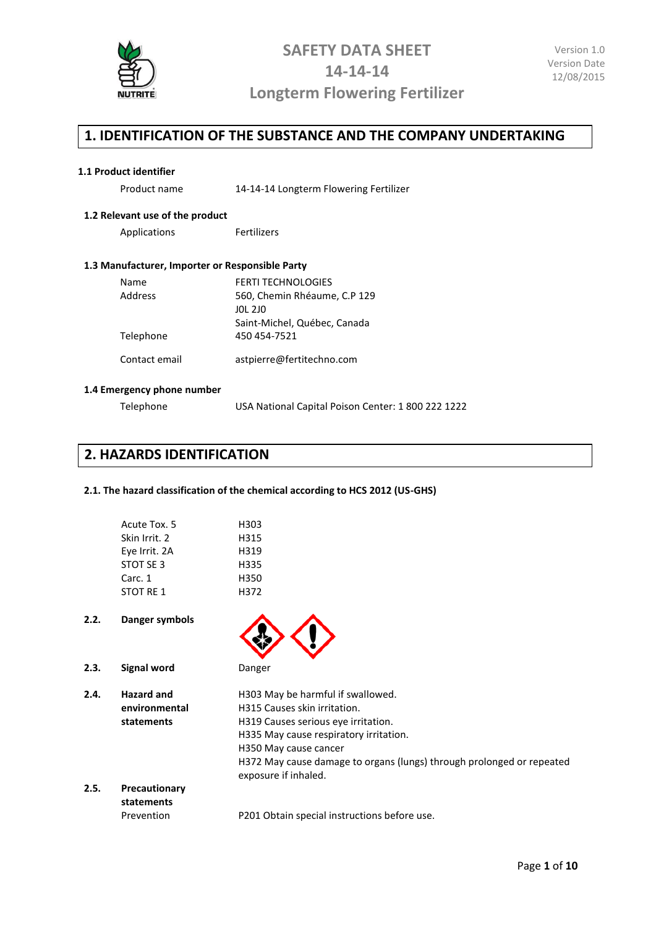

### **1. IDENTIFICATION OF THE SUBSTANCE AND THE COMPANY UNDERTAKING**

#### **1.1 Product identifier**

Product name 14-14-14 Longterm Flowering Fertilizer

#### **1.2 Relevant use of the product**

Applications Fertilizers

#### **1.3 Manufacturer, Importer or Responsible Party**

| Name          | <b>FERTI TECHNOLOGIES</b>    |
|---------------|------------------------------|
| Address       | 560, Chemin Rhéaume, C.P 129 |
|               | JOL 2JO                      |
|               | Saint-Michel, Québec, Canada |
| Telephone     | 450 454-7521                 |
|               |                              |
| Contact email | astpierre@fertitechno.com    |

#### **1.4 Emergency phone number**

| Telephone | USA National Capital Poison Center: 1 800 222 1222 |  |
|-----------|----------------------------------------------------|--|
|-----------|----------------------------------------------------|--|

### **2. HAZARDS IDENTIFICATION**

#### **2.1. The hazard classification of the chemical according to HCS 2012 (US-GHS)**

| Acute Tox. 5  | H303 |
|---------------|------|
| Skin Irrit. 2 | H315 |
| Eye Irrit. 2A | H319 |
| STOT SE 3     | H335 |
| Carc. 1       | H350 |
| STOT RF 1     | H372 |
|               |      |

- **2.2. Danger symbols**
- **2.3. Signal word** Danger
- 
- **2.4. Hazard and environmental statements** H303 May be harmful if swallowed. H315 Causes skin irritation. H319 Causes serious eye irritation. H335 May cause respiratory irritation. H350 May cause cancer H372 May cause damage to organs (lungs) through prolonged or repeated exposure if inhaled. **2.5. Precautionary statements**
	- Prevention P201 Obtain special instructions before use.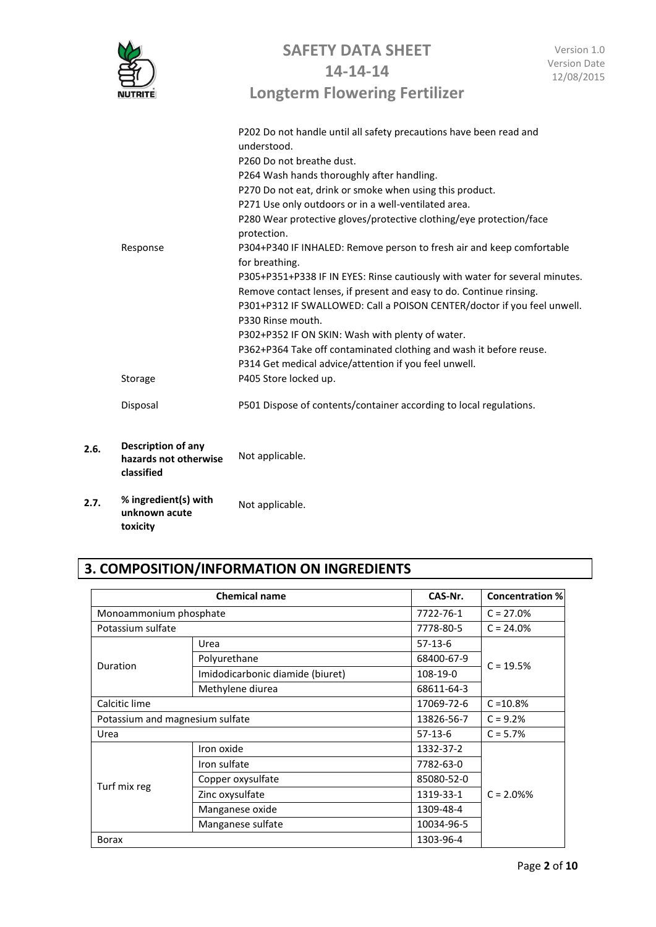|                                                                  | <b>SAFETY DATA SHEET</b><br>14-14-14                                                    | Version 1.0<br><b>Version Date</b> |
|------------------------------------------------------------------|-----------------------------------------------------------------------------------------|------------------------------------|
|                                                                  | <b>Longterm Flowering Fertilizer</b>                                                    | 12/08/2015                         |
|                                                                  | P202 Do not handle until all safety precautions have been read and<br>understood.       |                                    |
|                                                                  | P260 Do not breathe dust.                                                               |                                    |
|                                                                  | P264 Wash hands thoroughly after handling.                                              |                                    |
|                                                                  | P270 Do not eat, drink or smoke when using this product.                                |                                    |
|                                                                  | P271 Use only outdoors or in a well-ventilated area.                                    |                                    |
|                                                                  | P280 Wear protective gloves/protective clothing/eye protection/face<br>protection.      |                                    |
| Response                                                         | P304+P340 IF INHALED: Remove person to fresh air and keep comfortable<br>for breathing. |                                    |
|                                                                  | P305+P351+P338 IF IN EYES: Rinse cautiously with water for several minutes.             |                                    |
|                                                                  | Remove contact lenses, if present and easy to do. Continue rinsing.                     |                                    |
|                                                                  | P301+P312 IF SWALLOWED: Call a POISON CENTER/doctor if you feel unwell.                 |                                    |
|                                                                  | P330 Rinse mouth.                                                                       |                                    |
|                                                                  | P302+P352 IF ON SKIN: Wash with plenty of water.                                        |                                    |
|                                                                  | P362+P364 Take off contaminated clothing and wash it before reuse.                      |                                    |
|                                                                  | P314 Get medical advice/attention if you feel unwell.                                   |                                    |
| Storage                                                          | P405 Store locked up.                                                                   |                                    |
| Disposal                                                         | P501 Dispose of contents/container according to local regulations.                      |                                    |
| <b>Description of any</b><br>hazards not otherwise<br>classified | Not applicable.                                                                         |                                    |
| % ingredient(s) with                                             |                                                                                         |                                    |

**2.7. % ingredient(s) with unknown acute toxicity** Not applicable.

 $2.6.$ 

## **3. COMPOSITION/INFORMATION ON INGREDIENTS**

| <b>Chemical name</b>            |                                  | CAS-Nr.    | <b>Concentration %</b> |
|---------------------------------|----------------------------------|------------|------------------------|
| Monoammonium phosphate          |                                  | 7722-76-1  | $C = 27.0%$            |
| Potassium sulfate               |                                  | 7778-80-5  | $C = 24.0%$            |
|                                 | Urea                             | $57-13-6$  |                        |
| Duration                        | Polyurethane                     | 68400-67-9 | $C = 19.5%$            |
|                                 | Imidodicarbonic diamide (biuret) | 108-19-0   |                        |
|                                 | Methylene diurea                 | 68611-64-3 |                        |
| Calcitic lime                   |                                  | 17069-72-6 | $C = 10.8%$            |
| Potassium and magnesium sulfate |                                  | 13826-56-7 | $C = 9.2%$             |
| Urea                            |                                  | $57-13-6$  | $C = 5.7%$             |
| Turf mix reg                    | Iron oxide                       | 1332-37-2  |                        |
|                                 | Iron sulfate                     | 7782-63-0  |                        |
|                                 | Copper oxysulfate                | 85080-52-0 |                        |
|                                 | Zinc oxysulfate                  | 1319-33-1  | $C = 2.0%$             |
|                                 | Manganese oxide                  | 1309-48-4  |                        |
|                                 | Manganese sulfate                | 10034-96-5 |                        |
| <b>Borax</b>                    |                                  | 1303-96-4  |                        |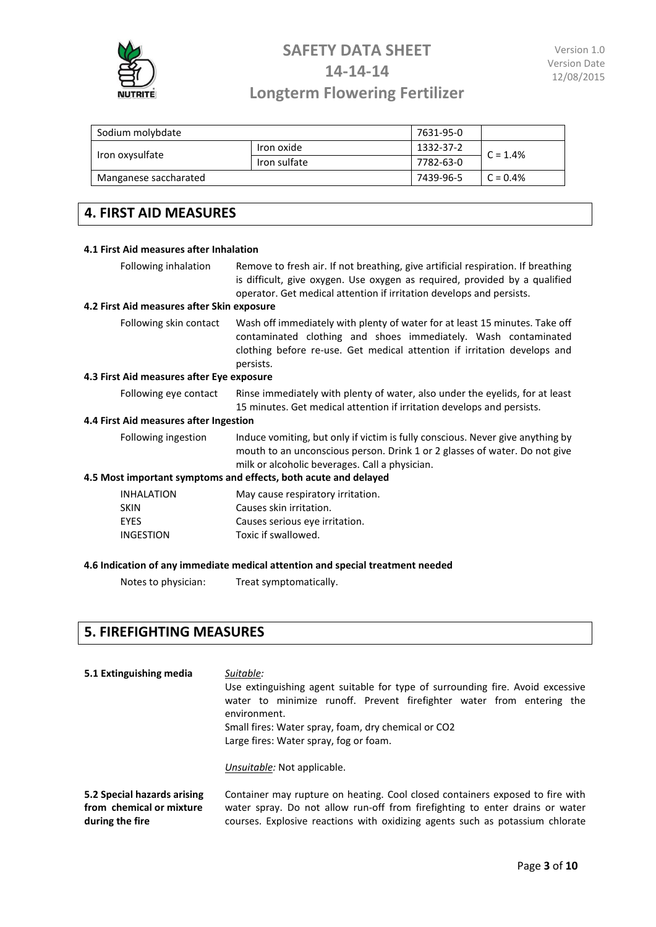

# **SAFETY DATA SHEET 14-14-14**

### **Longterm Flowering Fertilizer**

| Sodium molybdate      |              | 7631-95-0 |            |
|-----------------------|--------------|-----------|------------|
| Iron oxysulfate       | Iron oxide   | 1332-37-2 | $C = 1.4%$ |
|                       | Iron sulfate | 7782-63-0 |            |
| Manganese saccharated |              | 7439-96-5 | $C = 0.4%$ |

## **4. FIRST AID MEASURES**

### **4.1 First Aid measures after Inhalation** Following inhalation Remove to fresh air. If not breathing, give artificial respiration. If breathing is difficult, give oxygen. Use oxygen as required, provided by a qualified operator. Get medical attention if irritation develops and persists. **4.2 First Aid measures after Skin exposure** Following skin contact Wash off immediately with plenty of water for at least 15 minutes. Take off contaminated clothing and shoes immediately. Wash contaminated clothing before re-use. Get medical attention if irritation develops and persists. **4.3 First Aid measures after Eye exposure** Following eye contact Rinse immediately with plenty of water, also under the eyelids, for at least 15 minutes. Get medical attention if irritation develops and persists. **4.4 First Aid measures after Ingestion** Following ingestion Induce vomiting, but only if victim is fully conscious. Never give anything by mouth to an unconscious person. Drink 1 or 2 glasses of water. Do not give milk or alcoholic beverages. Call a physician. **4.5 Most important symptoms and effects, both acute and delayed** INHALATION May cause respiratory irritation. SKIN Causes skin irritation. EYES Causes serious eye irritation. INGESTION Toxic if swallowed. **4.6 Indication of any immediate medical attention and special treatment needed**

Notes to physician: Treat symptomatically.

### **5. FIREFIGHTING MEASURES**

**during the fire**

| 5.1 Extinguishing media     | Suitable:<br>Use extinguishing agent suitable for type of surrounding fire. Avoid excessive<br>water to minimize runoff. Prevent firefighter water from entering the<br>environment.<br>Small fires: Water spray, foam, dry chemical or CO2<br>Large fires: Water spray, fog or foam.<br>Unsuitable: Not applicable. |
|-----------------------------|----------------------------------------------------------------------------------------------------------------------------------------------------------------------------------------------------------------------------------------------------------------------------------------------------------------------|
| 5.2 Special hazards arising | Container may rupture on heating. Cool closed containers exposed to fire with                                                                                                                                                                                                                                        |
| from chemical or mixture    | water spray. Do not allow run-off from firefighting to enter drains or water                                                                                                                                                                                                                                         |

courses. Explosive reactions with oxidizing agents such as potassium chlorate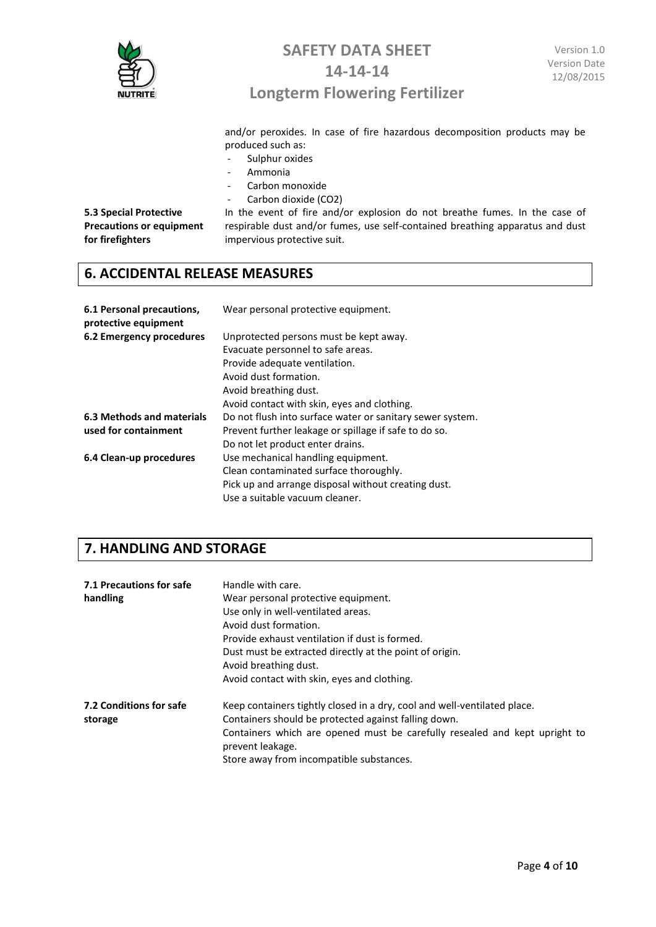

## **SAFETY DATA SHEET 14-14-14**

## **Longterm Flowering Fertilizer**

and/or peroxides. In case of fire hazardous decomposition products may be produced such as:

- Sulphur oxides
- Ammonia
- Carbon monoxide
- Carbon dioxide (CO2)

**5.3 Special Protective Precautions or equipment for firefighters**

In the event of fire and/or explosion do not breathe fumes. In the case of respirable dust and/or fumes, use self-contained breathing apparatus and dust impervious protective suit.

### **6. ACCIDENTAL RELEASE MEASURES**

| 6.1 Personal precautions,<br>protective equipment | Wear personal protective equipment.                       |
|---------------------------------------------------|-----------------------------------------------------------|
| 6.2 Emergency procedures                          | Unprotected persons must be kept away.                    |
|                                                   | Evacuate personnel to safe areas.                         |
|                                                   | Provide adequate ventilation.                             |
|                                                   | Avoid dust formation.                                     |
|                                                   | Avoid breathing dust.                                     |
|                                                   | Avoid contact with skin, eyes and clothing.               |
| 6.3 Methods and materials                         | Do not flush into surface water or sanitary sewer system. |
| used for containment                              | Prevent further leakage or spillage if safe to do so.     |
|                                                   | Do not let product enter drains.                          |
| 6.4 Clean-up procedures                           | Use mechanical handling equipment.                        |
|                                                   | Clean contaminated surface thoroughly.                    |
|                                                   | Pick up and arrange disposal without creating dust.       |
|                                                   | Use a suitable vacuum cleaner.                            |

### **7. HANDLING AND STORAGE**

| 7.1 Precautions for safe<br>handling      | Handle with care.<br>Wear personal protective equipment.<br>Use only in well-ventilated areas.<br>Avoid dust formation.<br>Provide exhaust ventilation if dust is formed.<br>Dust must be extracted directly at the point of origin.<br>Avoid breathing dust.<br>Avoid contact with skin, eyes and clothing. |
|-------------------------------------------|--------------------------------------------------------------------------------------------------------------------------------------------------------------------------------------------------------------------------------------------------------------------------------------------------------------|
| <b>7.2 Conditions for safe</b><br>storage | Keep containers tightly closed in a dry, cool and well-ventilated place.<br>Containers should be protected against falling down.<br>Containers which are opened must be carefully resealed and kept upright to<br>prevent leakage.<br>Store away from incompatible substances.                               |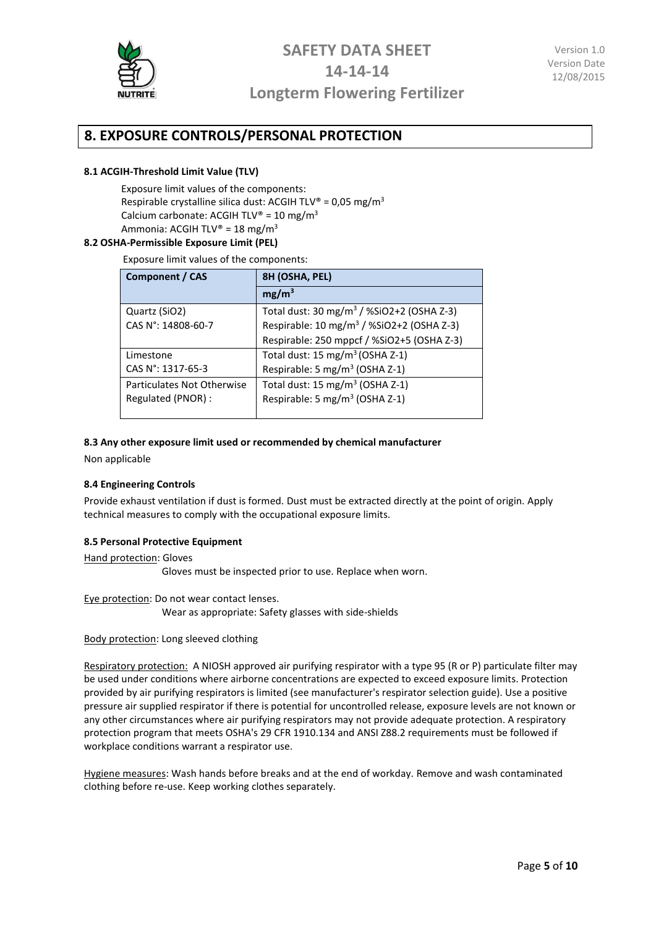

## **8. EXPOSURE CONTROLS/PERSONAL PROTECTION**

#### **8.1 ACGIH-Threshold Limit Value (TLV)**

Exposure limit values of the components: Respirable crystalline silica dust: ACGIH TLV® =  $0.05 \text{ mg/m}^3$ Calcium carbonate: ACGIH TLV® = 10 mg/m<sup>3</sup> Ammonia: ACGIH TLV® = 18 mg/m<sup>3</sup>

#### **8.2 OSHA-Permissible Exposure Limit (PEL)**

Exposure limit values of the components:

| <b>Component / CAS</b>     | 8H (OSHA, PEL)                                        |
|----------------------------|-------------------------------------------------------|
|                            | mg/m <sup>3</sup>                                     |
| Quartz (SiO2)              | Total dust: 30 mg/m <sup>3</sup> / %SiO2+2 (OSHA Z-3) |
| CAS N°: 14808-60-7         | Respirable: 10 mg/m <sup>3</sup> / %SiO2+2 (OSHA Z-3) |
|                            | Respirable: 250 mppcf / %SiO2+5 (OSHA Z-3)            |
| Limestone                  | Total dust: 15 mg/m <sup>3</sup> (OSHA Z-1)           |
| CAS N°: 1317-65-3          | Respirable: 5 mg/m <sup>3</sup> (OSHA Z-1)            |
| Particulates Not Otherwise | Total dust: 15 mg/m <sup>3</sup> (OSHA Z-1)           |
| Regulated (PNOR):          | Respirable: 5 mg/m <sup>3</sup> (OSHA Z-1)            |

#### **8.3 Any other exposure limit used or recommended by chemical manufacturer**

Non applicable

#### **8.4 Engineering Controls**

Provide exhaust ventilation if dust is formed. Dust must be extracted directly at the point of origin. Apply technical measures to comply with the occupational exposure limits.

#### **8.5 Personal Protective Equipment**

Hand protection: Gloves Gloves must be inspected prior to use. Replace when worn.

Eye protection: Do not wear contact lenses.

Wear as appropriate: Safety glasses with side-shields

#### Body protection: Long sleeved clothing

Respiratory protection: A NIOSH approved air purifying respirator with a type 95 (R or P) particulate filter may be used under conditions where airborne concentrations are expected to exceed exposure limits. Protection provided by air purifying respirators is limited (see manufacturer's respirator selection guide). Use a positive pressure air supplied respirator if there is potential for uncontrolled release, exposure levels are not known or any other circumstances where air purifying respirators may not provide adequate protection. A respiratory protection program that meets OSHA's 29 CFR 1910.134 and ANSI Z88.2 requirements must be followed if workplace conditions warrant a respirator use.

Hygiene measures: Wash hands before breaks and at the end of workday. Remove and wash contaminated clothing before re-use. Keep working clothes separately.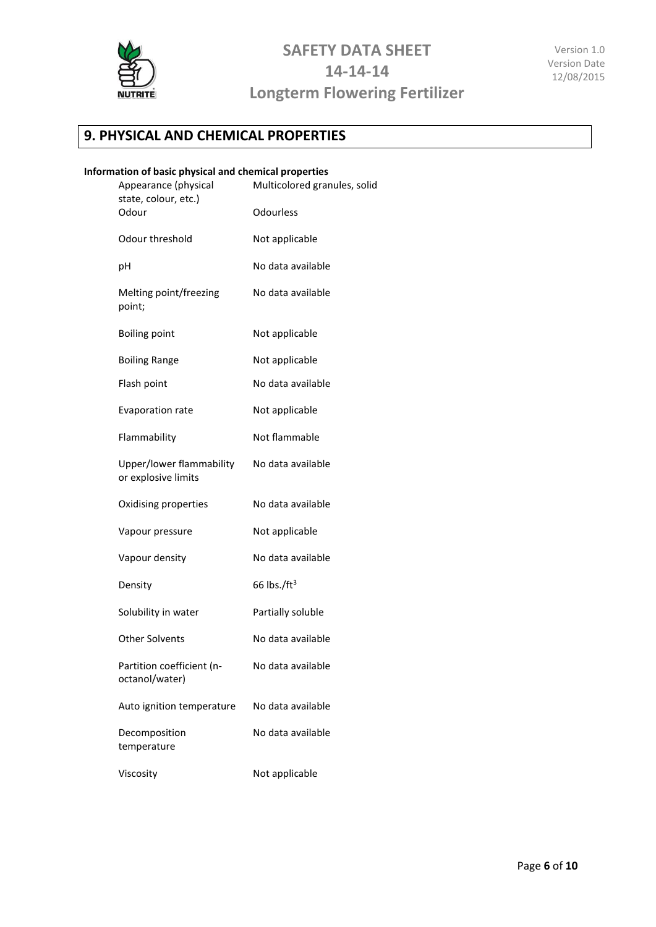

## **9. PHYSICAL AND CHEMICAL PROPERTIES**

#### **Information of basic physical and chemical properties**

| Appearance (physical<br>state, colour, etc.)    | Multicolored granules, solid |
|-------------------------------------------------|------------------------------|
| Odour                                           | Odourless                    |
| Odour threshold                                 | Not applicable               |
| рH                                              | No data available            |
| Melting point/freezing<br>point;                | No data available            |
| <b>Boiling point</b>                            | Not applicable               |
| <b>Boiling Range</b>                            | Not applicable               |
| Flash point                                     | No data available            |
| Evaporation rate                                | Not applicable               |
| Flammability                                    | Not flammable                |
| Upper/lower flammability<br>or explosive limits | No data available            |
| Oxidising properties                            | No data available            |
| Vapour pressure                                 | Not applicable               |
| Vapour density                                  | No data available            |
| Density                                         | 66 lbs./ $ft3$               |
| Solubility in water                             | Partially soluble            |
| <b>Other Solvents</b>                           | No data available            |
| Partition coefficient (n-<br>octanol/water)     | No data available            |
| Auto ignition temperature                       | No data available            |
| Decomposition<br>temperature                    | No data available            |
| Viscosity                                       | Not applicable               |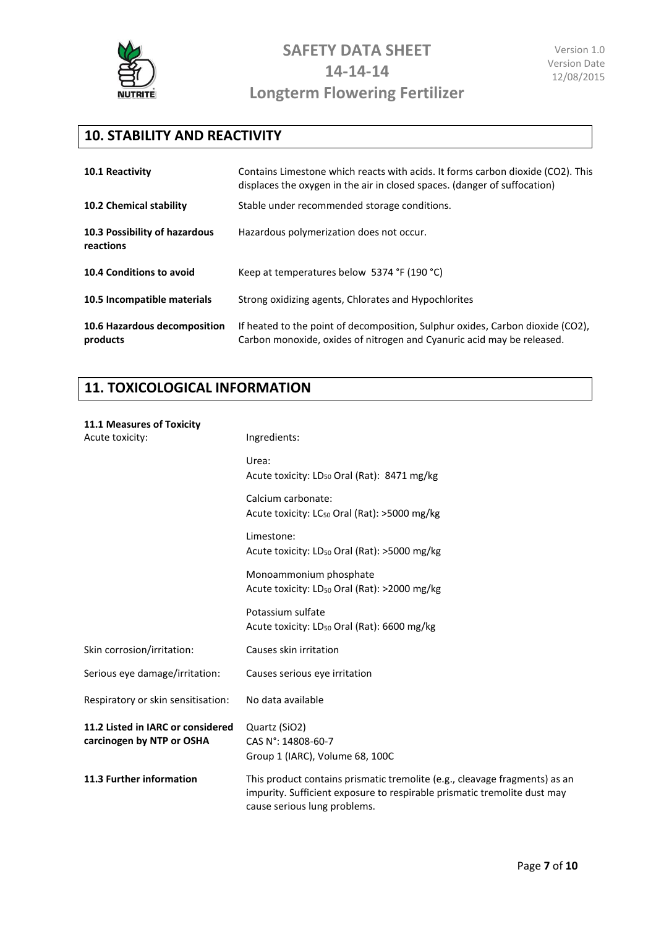

## **10. STABILITY AND REACTIVITY**

| 10.1 Reactivity                            | Contains Limestone which reacts with acids. It forms carbon dioxide (CO2). This<br>displaces the oxygen in the air in closed spaces. (danger of suffocation) |
|--------------------------------------------|--------------------------------------------------------------------------------------------------------------------------------------------------------------|
| 10.2 Chemical stability                    | Stable under recommended storage conditions.                                                                                                                 |
| 10.3 Possibility of hazardous<br>reactions | Hazardous polymerization does not occur.                                                                                                                     |
| 10.4 Conditions to avoid                   | Keep at temperatures below 5374 °F (190 °C)                                                                                                                  |
| 10.5 Incompatible materials                | Strong oxidizing agents, Chlorates and Hypochlorites                                                                                                         |
| 10.6 Hazardous decomposition<br>products   | If heated to the point of decomposition, Sulphur oxides, Carbon dioxide (CO2),<br>Carbon monoxide, oxides of nitrogen and Cyanuric acid may be released.     |

## **11. TOXICOLOGICAL INFORMATION**

| <b>11.1 Measures of Toxicity</b><br>Acute toxicity:            | Ingredients:                                                                                                                                                                           |
|----------------------------------------------------------------|----------------------------------------------------------------------------------------------------------------------------------------------------------------------------------------|
|                                                                | Urea:<br>Acute toxicity: LD <sub>50</sub> Oral (Rat): 8471 mg/kg                                                                                                                       |
|                                                                | Calcium carbonate:<br>Acute toxicity: LC <sub>50</sub> Oral (Rat): >5000 mg/kg                                                                                                         |
|                                                                | Limestone:<br>Acute toxicity: LD <sub>50</sub> Oral (Rat): >5000 mg/kg                                                                                                                 |
|                                                                | Monoammonium phosphate<br>Acute toxicity: $LD_{50}$ Oral (Rat): >2000 mg/kg                                                                                                            |
|                                                                | Potassium sulfate<br>Acute toxicity: LD <sub>50</sub> Oral (Rat): 6600 mg/kg                                                                                                           |
| Skin corrosion/irritation:                                     | Causes skin irritation                                                                                                                                                                 |
| Serious eye damage/irritation:                                 | Causes serious eye irritation                                                                                                                                                          |
| Respiratory or skin sensitisation:                             | No data available                                                                                                                                                                      |
| 11.2 Listed in IARC or considered<br>carcinogen by NTP or OSHA | Quartz (SiO2)<br>CAS N°: 14808-60-7<br>Group 1 (IARC), Volume 68, 100C                                                                                                                 |
| 11.3 Further information                                       | This product contains prismatic tremolite (e.g., cleavage fragments) as an<br>impurity. Sufficient exposure to respirable prismatic tremolite dust may<br>cause serious lung problems. |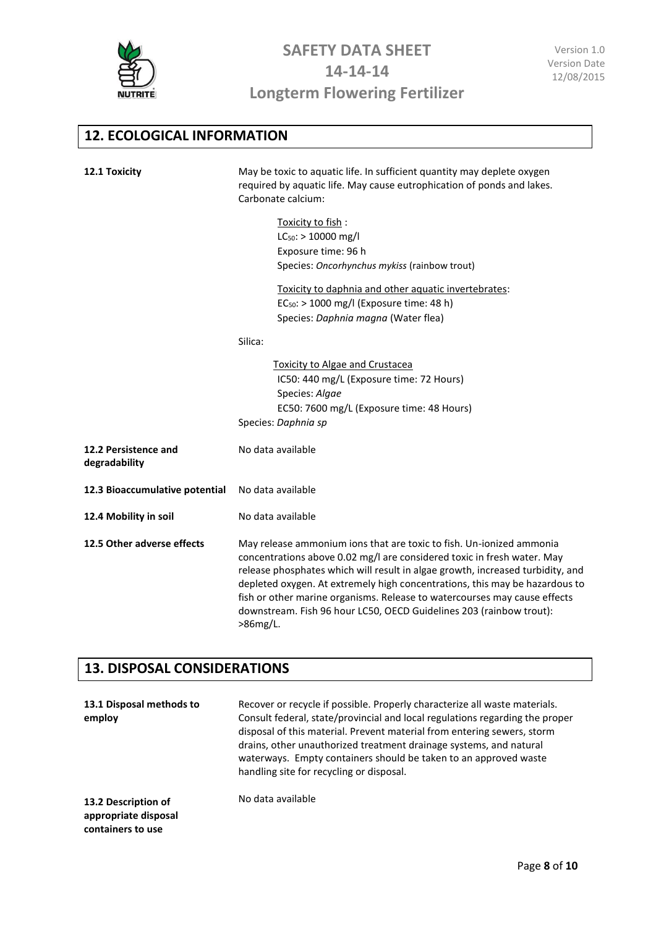

## **12. ECOLOGICAL INFORMATION**

| 12.1 Toxicity                         | May be toxic to aquatic life. In sufficient quantity may deplete oxygen<br>required by aquatic life. May cause eutrophication of ponds and lakes.<br>Carbonate calcium:                                                                                                                                                                                                                                                                                                          |  |
|---------------------------------------|----------------------------------------------------------------------------------------------------------------------------------------------------------------------------------------------------------------------------------------------------------------------------------------------------------------------------------------------------------------------------------------------------------------------------------------------------------------------------------|--|
|                                       | Toxicity to fish:                                                                                                                                                                                                                                                                                                                                                                                                                                                                |  |
|                                       | $LC_{50}$ : > 10000 mg/l                                                                                                                                                                                                                                                                                                                                                                                                                                                         |  |
|                                       | Exposure time: 96 h                                                                                                                                                                                                                                                                                                                                                                                                                                                              |  |
|                                       | Species: Oncorhynchus mykiss (rainbow trout)                                                                                                                                                                                                                                                                                                                                                                                                                                     |  |
|                                       | Toxicity to daphnia and other aquatic invertebrates:                                                                                                                                                                                                                                                                                                                                                                                                                             |  |
|                                       | $EC_{50}$ : > 1000 mg/l (Exposure time: 48 h)                                                                                                                                                                                                                                                                                                                                                                                                                                    |  |
|                                       | Species: Daphnia magna (Water flea)                                                                                                                                                                                                                                                                                                                                                                                                                                              |  |
|                                       | Silica:                                                                                                                                                                                                                                                                                                                                                                                                                                                                          |  |
|                                       | <b>Toxicity to Algae and Crustacea</b>                                                                                                                                                                                                                                                                                                                                                                                                                                           |  |
|                                       | IC50: 440 mg/L (Exposure time: 72 Hours)                                                                                                                                                                                                                                                                                                                                                                                                                                         |  |
|                                       | Species: Algae                                                                                                                                                                                                                                                                                                                                                                                                                                                                   |  |
|                                       | EC50: 7600 mg/L (Exposure time: 48 Hours)                                                                                                                                                                                                                                                                                                                                                                                                                                        |  |
|                                       | Species: Daphnia sp                                                                                                                                                                                                                                                                                                                                                                                                                                                              |  |
| 12.2 Persistence and<br>degradability | No data available                                                                                                                                                                                                                                                                                                                                                                                                                                                                |  |
| 12.3 Bioaccumulative potential        | No data available                                                                                                                                                                                                                                                                                                                                                                                                                                                                |  |
| 12.4 Mobility in soil                 | No data available                                                                                                                                                                                                                                                                                                                                                                                                                                                                |  |
| 12.5 Other adverse effects            | May release ammonium ions that are toxic to fish. Un-ionized ammonia<br>concentrations above 0.02 mg/l are considered toxic in fresh water. May<br>release phosphates which will result in algae growth, increased turbidity, and<br>depleted oxygen. At extremely high concentrations, this may be hazardous to<br>fish or other marine organisms. Release to watercourses may cause effects<br>downstream. Fish 96 hour LC50, OECD Guidelines 203 (rainbow trout):<br>>86mg/L. |  |

## **13. DISPOSAL CONSIDERATIONS**

| 13.1 Disposal methods to<br>employ                               | Recover or recycle if possible. Properly characterize all waste materials.<br>Consult federal, state/provincial and local regulations regarding the proper<br>disposal of this material. Prevent material from entering sewers, storm<br>drains, other unauthorized treatment drainage systems, and natural<br>waterways. Empty containers should be taken to an approved waste<br>handling site for recycling or disposal. |
|------------------------------------------------------------------|-----------------------------------------------------------------------------------------------------------------------------------------------------------------------------------------------------------------------------------------------------------------------------------------------------------------------------------------------------------------------------------------------------------------------------|
| 13.2 Description of<br>appropriate disposal<br>containers to use | No data available                                                                                                                                                                                                                                                                                                                                                                                                           |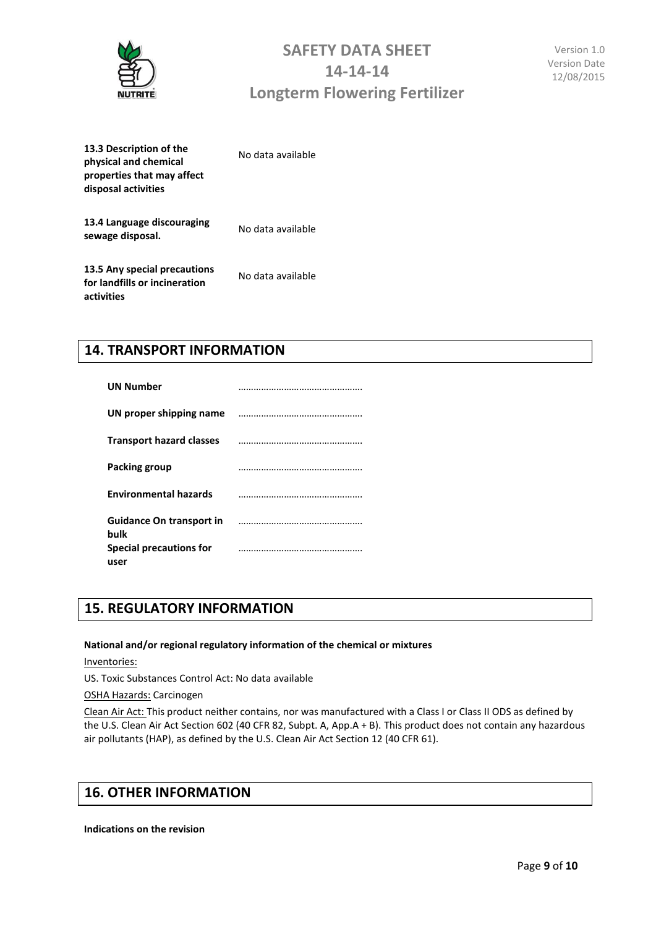

| 13.3 Description of the<br>physical and chemical<br>properties that may affect<br>disposal activities | No data available |
|-------------------------------------------------------------------------------------------------------|-------------------|
| 13.4 Language discouraging<br>sewage disposal.                                                        | No data available |
| 13.5 Any special precautions<br>for landfills or incineration<br>activities                           | No data available |

### **14. TRANSPORT INFORMATION**

| <b>UN Number</b>                        |  |
|-----------------------------------------|--|
| UN proper shipping name                 |  |
| <b>Transport hazard classes</b>         |  |
| Packing group                           |  |
| <b>Environmental hazards</b>            |  |
| <b>Guidance On transport in</b><br>bulk |  |
| Special precautions for<br>user         |  |

### **15. REGULATORY INFORMATION**

#### **National and/or regional regulatory information of the chemical or mixtures**

Inventories:

US. Toxic Substances Control Act: No data available

OSHA Hazards: Carcinogen

Clean Air Act: This product neither contains, nor was manufactured with a Class I or Class II ODS as defined by the U.S. Clean Air Act Section 602 (40 CFR 82, Subpt. A, App.A + B). This product does not contain any hazardous air pollutants (HAP), as defined by the U.S. Clean Air Act Section 12 (40 CFR 61).

### **16. OTHER INFORMATION**

**Indications on the revision**